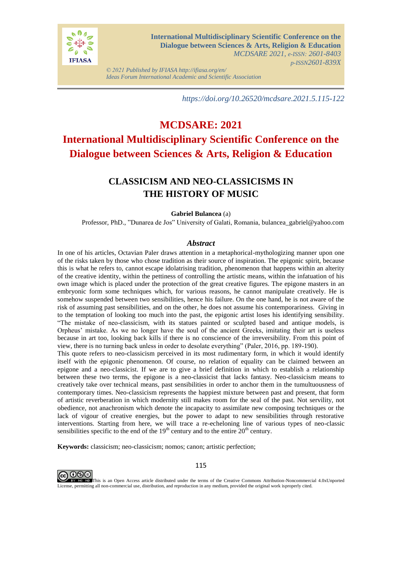

*© 2021 Published by IFIASA http://ifiasa.org/en/ Ideas Forum International Academic and Scientific Association*

*https://doi.org/10.26520/mcdsare.2021.5.115-122*

# **MCDSARE: 2021 International Multidisciplinary Scientific Conference on the Dialogue between Sciences & Arts, Religion & Education**

## **CLASSICISM AND NEO-CLASSICISMS IN THE HISTORY OF MUSIC**

## **Gabriel Bulancea** (a)

Professor, PhD., "Dunarea de Jos" University of Galati, Romania, bulancea\_gabriel@yahoo.com

### *Abstract*

In one of his articles, Octavian Paler draws attention in a metaphorical-mythologizing manner upon one of the risks taken by those who chose tradition as their source of inspiration. The epigonic spirit, because this is what he refers to, cannot escape idolatrising tradition, phenomenon that happens within an alterity of the creative identity, within the pettiness of controlling the artistic means, within the infatuation of his own image which is placed under the protection of the great creative figures. The epigone masters in an embryonic form some techniques which, for various reasons, he cannot manipulate creatively. He is somehow suspended between two sensibilities, hence his failure. On the one hand, he is not aware of the risk of assuming past sensibilities, and on the other, he does not assume his contemporariness. Giving in to the temptation of looking too much into the past, the epigonic artist loses his identifying sensibility. "The mistake of neo-classicism, with its statues painted or sculpted based and antique models, is Orpheus' mistake. As we no longer have the soul of the ancient Greeks, imitating their art is useless because in art too, looking back kills if there is no conscience of the irreversibility. From this point of view, there is no turning back unless in order to desolate everything" (Paler, 2016, pp. 189-190).

This quote refers to neo-classicism perceived in its most rudimentary form, in which it would identify itself with the epigonic phenomenon. Of course, no relation of equality can be claimed between an epigone and a neo-classicist. If we are to give a brief definition in which to establish a relationship between these two terms, the epigone is a neo-classicist that lacks fantasy. Neo-classicism means to creatively take over technical means, past sensibilities in order to anchor them in the tumultuousness of contemporary times. Neo-classicism represents the happiest mixture between past and present, that form of artistic reverberation in which modernity still makes room for the seal of the past. Not servility, not obedience, not anachronism which denote the incapacity to assimilate new composing techniques or the lack of vigour of creative energies, but the power to adapt to new sensibilities through restorative interventions. Starting from here, we will trace a re-echeloning line of various types of neo-classic sensibilities specific to the end of the  $19<sup>th</sup>$  century and to the entire  $20<sup>th</sup>$  century.

**Keywords:** classicism; neo-classicism; nomos; canon; artistic perfection;



115

This is an Open Access article distributed under the terms of the Creative Commons Attribution-Noncommercial 4.0xUnported License, permitting all non-commercial use, distribution, and reproduction in any medium, provided the original work isproperly cited.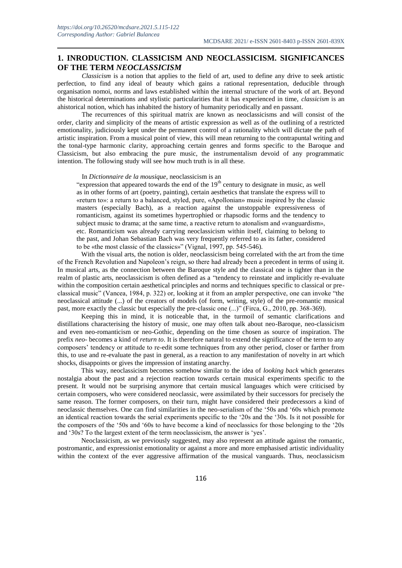## **1. INRODUCTION. CLASSICISM AND NEOCLASSICISM. SIGNIFICANCES OF THE TERM** *NEOCLASSICISM*

*Classicism* is a notion that applies to the field of art, used to define any drive to seek artistic perfection, to find any ideal of beauty which gains a rational representation, deducible through organisation nomoi, norms and laws established within the internal structure of the work of art. Beyond the historical determinations and stylistic particularities that it has experienced in time, *classicism* is an ahistorical notion, which has inhabited the history of humanity periodically and en passant.

The recurrences of this spiritual matrix are known as neoclassicisms and will consist of the order, clarity and simplicity of the means of artistic expression as well as of the outlining of a restricted emotionality, judiciously kept under the permanent control of a rationality which will dictate the path of artistic inspiration. From a musical point of view, this will mean returning to the contrapuntal writing and the tonal-type harmonic clarity, approaching certain genres and forms specific to the Baroque and Classicism, but also embracing the pure music, the instrumentalism devoid of any programmatic intention. The following study will see how much truth is in all these.

### In *Dictionnaire de la mousique*, neoclassicism is an

"expression that appeared towards the end of the 19<sup>th</sup> century to designate in music, as well as in other forms of art (poetry, painting), certain aesthetics that translate the express will to «return to»: a return to a balanced, styled, pure, «Apollonian» music inspired by the classic masters (especially Bach), as a reaction against the unstoppable expressiveness of romanticism, against its sometimes hypertrophied or rhapsodic forms and the tendency to subject music to drama; at the same time, a reactive return to atonalism and «vanguardism», etc. Romanticism was already carrying neoclassicism within itself, claiming to belong to the past, and Johan Sebastian Bach was very frequently referred to as its father, considered to be «the most classic of the classics»" (Vignal, 1997, pp. 545-546).

With the visual arts, the notion is older, neoclassicism being correlated with the art from the time of the French Revolution and Napoleon's reign, so there had already been a precedent in terms of using it. In musical arts, as the connection between the Baroque style and the classical one is tighter than in the realm of plastic arts, neoclassicism is often defined as a "tendency to reinstate and implicitly re-evaluate within the composition certain aesthetical principles and norms and techniques specific to classical or preclassical music" (Vancea, 1984, p. 322) or, looking at it from an ampler perspective, one can invoke "the neoclassical attitude (...) of the creators of models (of form, writing, style) of the pre-romantic musical past, more exactly the classic but especially the pre-classic one (...)" (Firca, G., 2010, pp. 368-369).

Keeping this in mind, it is noticeable that, in the turmoil of semantic clarifications and distillations characterising the history of music, one may often talk about neo-Baroque, neo-classicism and even neo-romanticism or neo-Gothic, depending on the time chosen as source of inspiration. The prefix *neo-* becomes a kind of *return to*. It is therefore natural to extend the significance of the term to any composers' tendency or attitude to re-edit some techniques from any other period, closer or farther from this, to use and re-evaluate the past in general, as a reaction to any manifestation of novelty in art which shocks, disappoints or gives the impression of instating anarchy.

This way, neoclassicism becomes somehow similar to the idea of *looking back* which generates nostalgia about the past and a rejection reaction towards certain musical experiments specific to the present. It would not be surprising anymore that certain musical languages which were criticised by certain composers, who were considered neoclassic, were assimilated by their successors for precisely the same reason. The former composers, on their turn, might have considered their predecessors a kind of neoclassic themselves. One can find similarities in the neo-serialism of the '50s and '60s which promote an identical reaction towards the serial experiments specific to the '20s and the '30s. Is it not possible for the composers of the '50s and '60s to have become a kind of neoclassics for those belonging to the '20s and '30s? To the largest extent of the term neoclassicism, the answer is 'yes'.

Neoclassicism, as we previously suggested, may also represent an attitude against the romantic, postromantic, and expressionist emotionality or against a more and more emphasised artistic individuality within the context of the ever aggressive affirmation of the musical vanguards. Thus, neoclassicism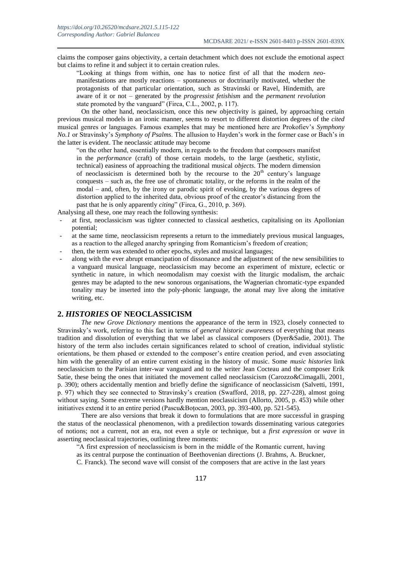claims the composer gains objectivity, a certain detachment which does not exclude the emotional aspect but claims to refine it and subject it to certain creation rules.

"Looking at things from within, one has to notice first of all that the modern *neo*manifestations are mostly reactions – spontaneous or doctrinarily motivated, whether the protagonists of that particular orientation, such as Stravinski or Ravel, Hindemith, are aware of it or not – generated by the *progressist fetishism* and the *permanent revolution* state promoted by the vanguard" (Firca, C.L., 2002, p. 117).

On the other hand, neoclassicism, once this new objectivity is gained, by approaching certain previous musical models in an ironic manner, seems to resort to different distortion degrees of the *cited* musical genres or languages. Famous examples that may be mentioned here are Prokofiev's *Symphony No.1* or Stravinsky's *Symphony of Psalms*. The allusion to Hayden's work in the former case or Bach's in the latter is evident. The neoclassic attitude may become

"on the other hand, essentially modern, in regards to the freedom that composers manifest in the *performance* (craft) of those certain models, to the large (aesthetic, stylistic, technical) easiness of approaching the traditional musical *objects*. The modern dimension of neoclassicism is determined both by the recourse to the  $20<sup>th</sup>$  century's language conquests – such as, the free use of chromatic totality, or the reforms in the realm of the modal – and, often, by the irony or parodic spirit of evoking, by the various degrees of distortion applied to the inherited data, obvious proof of the creator's distancing from the past that he is only apparently *citing*" (Firca, G., 2010, p. 369).

Analysing all these, one may reach the following synthesis:

- at first, neoclassicism was tighter connected to classical aesthetics, capitalising on its Apollonian potential;
- at the same time, neoclassicism represents a return to the immediately previous musical languages, as a reaction to the alleged anarchy springing from Romanticism's freedom of creation;
- then, the term was extended to other epochs, styles and musical languages;
- along with the ever abrupt emancipation of dissonance and the adjustment of the new sensibilities to a vanguard musical language, neoclassicism may become an experiment of mixture, eclectic or synthetic in nature, in which neomodalism may coexist with the liturgic modalism, the archaic genres may be adapted to the new sonorous organisations, the Wagnerian chromatic-type expanded tonality may be inserted into the poly-phonic language, the atonal may live along the imitative writing, etc.

## **2.** *HISTORIES* **OF NEOCLASSICISM**

*The new Grove Dictionary* mentions the appearance of the term in 1923, closely connected to Stravinsky's work, referring to this fact in terms of *general historic awareness* of everything that means tradition and dissolution of everything that we label as classical composers (Dyer&Sadie, 2001). The history of the term also includes certain significances related to school of creation, individual stylistic orientations, be them phased or extended to the composer's entire creation period, and even associating him with the generality of an entire current existing in the history of music. Some *music histories* link neoclassicism to the Parisian inter-war vanguard and to the writer Jean Cocteau and the composer Erik Satie, these being the ones that initiated the movement called neoclassicism (Carozzo&Cimagalli, 2001, p. 390); others accidentally mention and briefly define the significance of neoclassicism (Salvetti, 1991, p. 97) which they see connected to Stravinsky's creation (Swafford, 2018, pp. 227-228), almost going without saying. Some extreme versions hardly mention neoclassicism (Allorto, 2005, p. 453) while other initiatives extend it to an entire period (Pascu&Boțocan, 2003, pp. 393-400, pp. 521-545).

There are also versions that break it down to formulations that are more successful in grasping the status of the neoclassical phenomenon, with a predilection towards disseminating various categories of notions; not a current, not an era, not even a style or technique, but a *first expression* or *wave* in asserting neoclassical trajectories, outlining three moments:

"A first expression of neoclassicism is born in the middle of the Romantic current, having

as its central purpose the continuation of Beethovenian directions (J. Brahms, A. Bruckner,

C. Franck). The second wave will consist of the composers that are active in the last years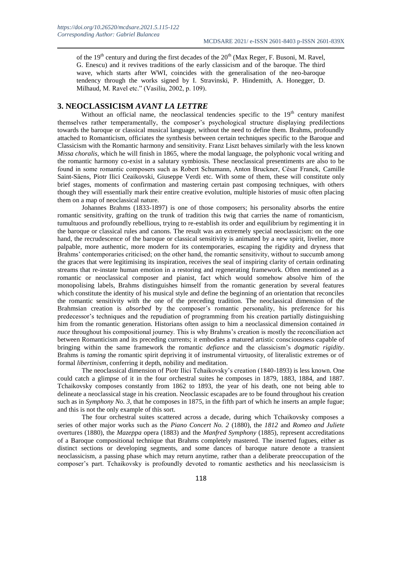of the  $19<sup>th</sup>$  century and during the first decades of the  $20<sup>th</sup>$  (Max Reger, F. Busoni, M. Ravel, G. Enescu) and it revives traditions of the early classicism and of the baroque. The third wave, which starts after WWI, coincides with the generalisation of the neo-baroque tendency through the works signed by I. Stravinski, P. Hindemith, A. Honegger, D. Milhaud, M. Ravel etc." (Vasiliu, 2002, p. 109).

### **3. NEOCLASSICISM** *AVANT LA LETTRE*

Without an official name, the neoclassical tendencies specific to the  $19<sup>th</sup>$  century manifest themselves rather temperamentally, the composer's psychological structure displaying predilections towards the baroque or classical musical language, without the need to define them. Brahms, profoundly attached to Romanticism, officiates the synthesis between certain techniques specific to the Baroque and Classicism with the Romantic harmony and sensitivity. Franz Liszt behaves similarly with the less known *Missa choralis*, which he will finish in 1865, where the modal language, the polyphonic vocal writing and the romantic harmony co-exist in a salutary symbiosis. These neoclassical presentiments are also to be found in some romantic composers such as Robert Schumann, Anton Bruckner, César Franck, Camille Saint-Säens, Piotr Ilici Ceaikovski, Giuseppe Verdi etc. With some of them, these will constitute only brief stages, moments of confirmation and mastering certain past composing techniques, with others though they will essentially mark their entire creative evolution, multiple histories of music often placing them on a map of neoclassical nature.

Johannes Brahms (1833-1897) is one of those composers; his personality absorbs the entire romantic sensitivity, grafting on the trunk of tradition this twig that carries the name of romanticism, tumultuous and profoundly rebellious, trying to re-establish its order and equilibrium by regimenting it in the baroque or classical rules and canons. The result was an extremely special neoclassicism: on the one hand, the recrudescence of the baroque or classical sensitivity is animated by a new spirit, livelier, more palpable, more authentic, more modern for its contemporaries, escaping the rigidity and dryness that Brahms' contemporaries criticised; on the other hand, the romantic sensitivity, without to succumb among the graces that were legitimising its inspiration, receives the seal of inspiring clarity of certain ordinating streams that re-instate human emotion in a restoring and regenerating framework. Often mentioned as a romantic or neoclassical composer and pianist, fact which would somehow absolve him of the monopolising labels, Brahms distinguishes himself from the romantic generation by several features which constitute the identity of his musical style and define the beginning of an orientation that reconciles the romantic sensitivity with the one of the preceding tradition. The neoclassical dimension of the Brahmsian creation is *absorbed* by the composer's romantic personality, his preference for his predecessor's techniques and the repudiation of programming from his creation partially distinguishing him from the romantic generation. Historians often assign to him a neoclassical dimension contained *in nuce* throughout his compositional journey. This is why Brahms's creation is mostly the reconciliation act between Romanticism and its preceding currents; it embodies a matured artistic consciousness capable of bringing within the same framework the romantic *defiance* and the classicism's *dogmatic rigidity*. Brahms is *taming* the romantic spirit depriving it of instrumental virtuosity, of literalistic extremes or of formal *libertinism*, conferring it depth, nobility and meditation.

The neoclassical dimension of Piotr Ilici Tchaikovsky's creation (1840-1893) is less known. One could catch a glimpse of it in the four orchestral suites he composes in 1879, 1883, 1884, and 1887. Tchaikovsky composes constantly from 1862 to 1893, the year of his death, one not being able to delineate a neoclassical stage in his creation. Neoclassic escapades are to be found throughout his creation such as in *Symphony No. 3*, that he composes in 1875, in the fifth part of which he inserts an ample fugue; and this is not the only example of this sort.

The four orchestral suites scattered across a decade, during which Tchaikovsky composes a series of other major works such as the *Piano Concert No. 2* (1880), the *1812* and *Romeo and Juliete* overtures (1880), the *Mazeppa* opera (1883) and the *Manfred Symphony* (1885), represent accreditations of a Baroque compositional technique that Brahms completely mastered. The inserted fugues, either as distinct sections or developing segments, and some dances of baroque nature denote a transient neoclassicism, a passing phase which may return anytime, rather than a deliberate preoccupation of the composer's part. Tchaikovsky is profoundly devoted to romantic aesthetics and his neoclassicism is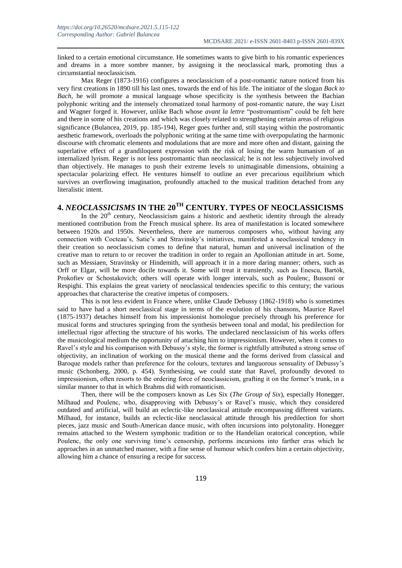linked to a certain emotional circumstance. He sometimes wants to give birth to his romantic experiences and dreams in a more sombre manner, by assigning it the neoclassical mark, promoting thus a circumstantial neoclassicism.

Max Reger (1873-1916) configures a neoclassicism of a post-romantic nature noticed from his very first creations in 1890 till his last ones, towards the end of his life. The initiator of the slogan *Back to Bach*, he will promote a musical language whose specificity is the synthesis between the Bachian polyphonic writing and the intensely chromatized tonal harmony of post-romantic nature, the way Liszt and Wagner forged it. However, unlike Bach whose *avant la lettre* "postromantism" could be felt here and there in some of his creations and which was closely related to strengthening certain areas of religious significance (Bulancea, 2019, pp. 185-194), Reger goes further and, still staying within the postromantic aesthetic framework, overloads the polyphonic writing at the same time with overpopulating the harmonic discourse with chromatic elements and modulations that are more and more often and distant, gaining the superlative effect of a grandiloquent expression with the risk of losing the warm humanism of an internalized lyrism. Reger is not less postromantic than neoclassical; he is not less subjectively involved than objectively. He manages to push their extreme levels to unimaginable dimensions, obtaining a spectacular polarizing effect. He ventures himself to outline an ever precarious equilibrium which survives an overflowing imagination, profoundly attached to the musical tradition detached from any literalistic intent.

## **4.** *NEOCLASSICISMS* **IN THE 20TH CENTURY. TYPES OF NEOCLASSICISMS**

In the  $20<sup>th</sup>$  century, Neoclassicism gains a historic and aesthetic identity through the already mentioned contribution from the French musical sphere. Its area of manifestation is located somewhere between 1920s and 1950s. Nevertheless, there are numerous composers who, without having any connection with Cocteau's, Satie's and Stravinsky's initiatives, manifested a neoclassical tendency in their creation so neoclassicism comes to define that natural, human and universal inclination of the creative man to return to or recover the tradition in order to regain an Apollonian attitude in art. Some, such as Messiaen, Stravinsky or Hindemith, will approach it in a more daring manner; others, such as Orff or Elgar, will be more docile towards it. Some will treat it transiently, such as Enescu, Bartók, Prokofiev or Schostakovich; others will operate with longer intervals, such as Poulenc, Bussoni or Respighi. This explains the great variety of neoclassical tendencies specific to this century; the various approaches that characterise the creative impetus of composers.

This is not less evident in France where, unlike Claude Debussy (1862-1918) who is sometimes said to have had a short neoclassical stage in terms of the evolution of his chansons, Maurice Ravel (1875-1937) detaches himself from his impressionist homologue precisely through his preference for musical forms and structures springing from the synthesis between tonal and modal, his predilection for intellectual rigor affecting the structure of his works. The undeclared neoclassicism of his works offers the musicological medium the opportunity of attaching him to impressionism. However, when it comes to Ravel's style and his comparison with Debussy's style, the former is rightfully attributed a strong sense of objectivity, an inclination of working on the musical theme and the forms derived from classical and Baroque models rather than preference for the colours, textures and languorous sensuality of Debussy's music (Schonberg, 2000, p. 454). Synthesising, we could state that Ravel, profoundly devoted to impressionism, often resorts to the ordering force of neoclassicism, grafting it on the former's trunk, in a similar manner to that in which Brahms did with romanticism.

Then, there will be the composers known as Les Six (*The Group of Six*), especially Honegger, Milhaud and Poulenc, who, disapproving with Debussy's or Ravel's music, which they considered outdated and artificial, will build an eclectic-like neoclassical attitude encompassing different variants. Milhaud, for instance, builds an eclectic-like neoclassical attitude through his predilection for short pieces, jazz music and South-American dance music, with often incursions into polytonality. Honegger remains attached to the Western symphonic tradition or to the Handelian oratorical conception, while Poulenc, the only one surviving time's censorship, performs incursions into farther eras which he approaches in an unmatched manner, with a fine sense of humour which confers him a certain objectivity, allowing him a chance of ensuring a recipe for success.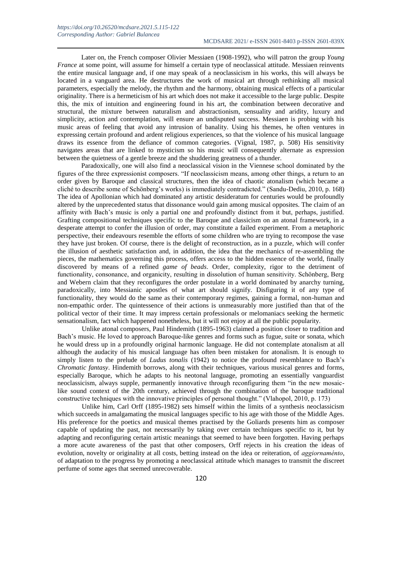Later on, the French composer Olivier Messiaen (1908-1992), who will patron the group *Young France* at some point, will assume for himself a certain type of neoclassical attitude. Messiaen reinvents the entire musical language and, if one may speak of a neoclassicism in his works, this will always be located in a vanguard area. He destructures the work of musical art through rethinking all musical parameters, especially the melody, the rhythm and the harmony, obtaining musical effects of a particular originality. There is a hermeticism of his art which does not make it accessible to the large public. Despite this, the mix of intuition and engineering found in his art, the combination between decorative and structural, the mixture between naturalism and abstractionism, sensuality and aridity, luxury and simplicity, action and contemplation, will ensure an undisputed success. Messiaen is probing with his music areas of feeling that avoid any intrusion of banality. Using his themes, he often ventures in expressing certain profound and ardent religious experiences, so that the violence of his musical language draws its essence from the defiance of common categories. (Vignal, 1987, p. 508) His sensitivity navigates areas that are linked to mysticism so his music will consequently alternate as expression between the quietness of a gentle breeze and the shuddering greatness of a thunder.

Paradoxically, one will also find a neoclassical vision in the Viennese school dominated by the figures of the three expressionist composers. "If neoclassicism means, among other things, a return to an order given by Baroque and classical structures, then the idea of chaotic atonalism (which became a cliché to describe some of Schönberg's works) is immediately contradicted." (Sandu-Dediu, 2010, p. 168) The idea of Apollonian which had dominated any artistic desideratum for centuries would be profoundly altered by the unprecedented status that dissonance would gain among musical opposites. The claim of an affinity with Bach's music is only a partial one and profoundly distinct from it but, perhaps, justified. Grafting compositional techniques specific to the Baroque and classicism on an atonal framework, in a desperate attempt to confer the illusion of order, may constitute a failed experiment. From a metaphoric perspective, their endeavours resemble the efforts of some children who are trying to recompose the vase they have just broken. Of course, there is the delight of reconstruction, as in a puzzle, which will confer the illusion of aesthetic satisfaction and, in addition, the idea that the mechanics of re-assembling the pieces, the mathematics governing this process, offers access to the hidden essence of the world, finally discovered by means of a refined *game of beads*. Order, complexity, rigor to the detriment of functionality, consonance, and organicity, resulting in dissolution of human sensitivity. Schönberg, Berg and Webern claim that they reconfigures the order postulate in a world dominated by anarchy turning, paradoxically, into Messianic apostles of what art should signify. Disfiguring it of any type of functionality, they would do the same as their contemporary regimes, gaining a formal, non-human and non-empathic order. The quintessence of their actions is unmeasurably more justified than that of the political vector of their time. It may impress certain professionals or melomaniacs seeking the hermetic sensationalism, fact which happened nonetheless, but it will not enjoy at all the public popularity.

Unlike atonal composers, Paul Hindemith (1895-1963) claimed a position closer to tradition and Bach's music. He loved to approach Baroque-like genres and forms such as fugue, suite or sonata, which he would dress up in a profoundly original harmonic language. He did not contemplate atonalism at all although the audacity of his musical language has often been mistaken for atonalism. It is enough to simply listen to the prelude of *Ludus tonalis* (1942) to notice the profound resemblance to Bach's *Chromatic fantasy*. Hindemith borrows, along with their techniques, various musical genres and forms, especially Baroque, which he adapts to his neotonal language, promoting an essentially vanguardist neoclassicism, always supple, permanently innovative through reconfiguring them "in the new mosaiclike sound context of the 20th century, achieved through the combination of the baroque traditional constructive techniques with the innovative principles of personal thought." (Vlahopol, 2010, p. 173)

Unlike him, Carl Orff (1895-1982) sets himself within the limits of a synthesis neoclassicism which succeeds in amalgamating the musical languages specific to his age with those of the Middle Ages. His preference for the poetics and musical themes practised by the Goliards presents him as composer capable of updating the past, not necessarily by taking over certain techniques specific to it, but by adapting and reconfiguring certain artistic meanings that seemed to have been forgotten. Having perhaps a more acute awareness of the past that other composers, Orff rejects in his creation the ideas of evolution, novelty or originality at all costs, betting instead on the idea or reiteration, of *aggiornaménto*, of adaptation to the progress by promoting a neoclassical attitude which manages to transmit the discreet perfume of some ages that seemed unrecoverable.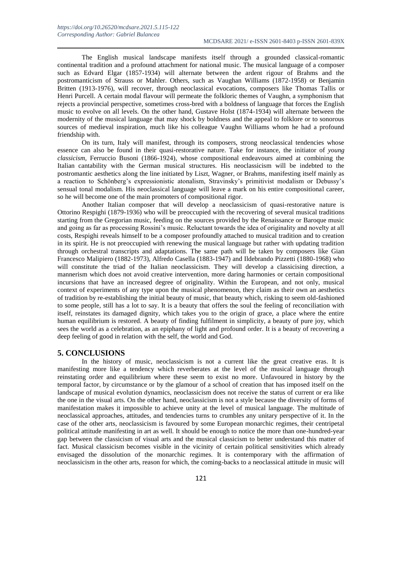The English musical landscape manifests itself through a grounded classical-romantic continental tradition and a profound attachment for national music. The musical language of a composer such as Edvard Elgar (1857-1934) will alternate between the ardent rigour of Brahms and the postromanticism of Strauss or Mahler. Others, such as Vaughan Williams (1872-1958) or Benjamin Britten (1913-1976), will recover, through neoclassical evocations, composers like Thomas Tallis or Henri Purcell. A certain modal flavour will permeate the folkloric themes of Vaughn, a symphonism that rejects a provincial perspective, sometimes cross-bred with a boldness of language that forces the English music to evolve on all levels. On the other hand, Gustave Holst (1874-1934) will alternate between the modernity of the musical language that may shock by boldness and the appeal to folklore or to sonorous sources of medieval inspiration, much like his colleague Vaughn Williams whom he had a profound friendship with.

On its turn, Italy will manifest, through its composers, strong neoclassical tendencies whose essence can also be found in their quasi-restorative nature. Take for instance, the initiator of *young classicism*, Ferruccio Busoni (1866-1924), whose compositional endeavours aimed at combining the Italian cantability with the German musical structures. His neoclassicism will be indebted to the postromantic aesthetics along the line initiated by Liszt, Wagner, or Brahms, manifesting itself mainly as a reaction to Schönberg's expressionistic atonalism, Stravinsky's primitivist modalism or Debussy's sensual tonal modalism. His neoclassical language will leave a mark on his entire compositional career, so he will become one of the main promoters of compositional rigor.

Another Italian composer that will develop a neoclassicism of quasi-restorative nature is Ottorino Respighi (1879-1936) who will be preoccupied with the recovering of several musical traditions starting from the Gregorian music, feeding on the sources provided by the Renaissance or Baroque music and going as far as processing Rossini's music. Reluctant towards the idea of originality and novelty at all costs, Respighi reveals himself to be a composer profoundly attached to musical tradition and to creation in its spirit. He is not preoccupied with renewing the musical language but rather with updating tradition through orchestral transcripts and adaptations. The same path will be taken by composers like Gian Francesco Malipiero (1882-1973), Alfredo Casella (1883-1947) and Ildebrando Pizzetti (1880-1968) who will constitute the triad of the Italian neoclassicism. They will develop a classicising direction, a mannerism which does not avoid creative intervention, more daring harmonies or certain compositional incursions that have an increased degree of originality. Within the European, and not only, musical context of experiments of any type upon the musical phenomenon, they claim as their own an aesthetics of tradition by re-establishing the initial beauty of music, that beauty which, risking to seem old-fashioned to some people, still has a lot to say. It is a beauty that offers the soul the feeling of reconciliation with itself, reinstates its damaged dignity, which takes you to the origin of grace, a place where the entire human equilibrium is restored. A beauty of finding fulfilment in simplicity, a beauty of pure joy, which sees the world as a celebration, as an epiphany of light and profound order. It is a beauty of recovering a deep feeling of good in relation with the self, the world and God.

### **5. CONCLUSIONS**

In the history of music, neoclassicism is not a current like the great creative eras. It is manifesting more like a tendency which reverberates at the level of the musical language through reinstating order and equilibrium where these seem to exist no more. Unfavoured in history by the temporal factor, by circumstance or by the glamour of a school of creation that has imposed itself on the landscape of musical evolution dynamics, neoclassicism does not receive the status of current or era like the one in the visual arts. On the other hand, neoclassicism is not a style because the diversity of forms of manifestation makes it impossible to achieve unity at the level of musical language. The multitude of neoclassical approaches, attitudes, and tendencies turns to crumbles any unitary perspective of it. In the case of the other arts, neoclassicism is favoured by some European monarchic regimes, their centripetal political attitude manifesting in art as well. It should be enough to notice the more than one-hundred-year gap between the classicism of visual arts and the musical classicism to better understand this matter of fact. Musical classicism becomes visible in the vicinity of certain political sensitivities which already envisaged the dissolution of the monarchic regimes. It is contemporary with the affirmation of neoclassicism in the other arts, reason for which, the coming-backs to a neoclassical attitude in music will